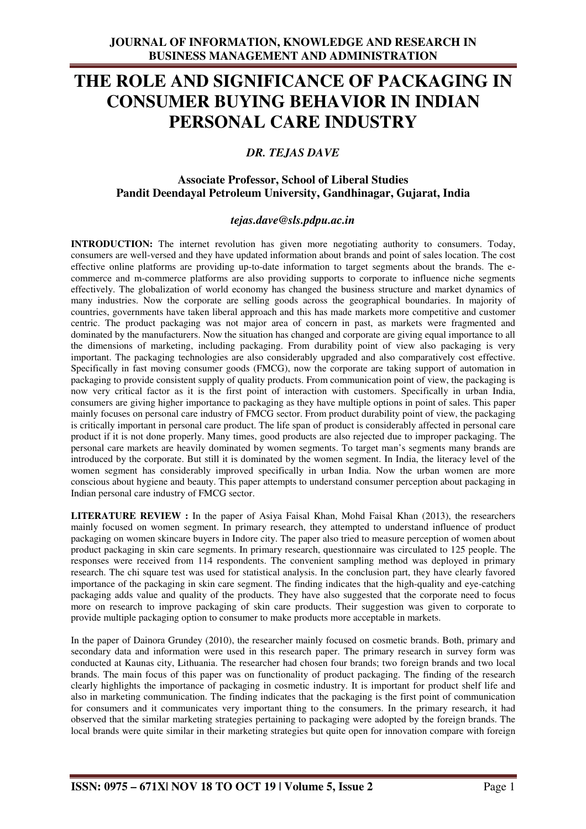# **THE ROLE AND SIGNIFICANCE OF PACKAGING IN CONSUMER BUYING BEHAVIOR IN INDIAN PERSONAL CARE INDUSTRY**

# *DR. TEJAS DAVE*

# **Associate Professor, School of Liberal Studies Pandit Deendayal Petroleum University, Gandhinagar, Gujarat, India**

# *tejas.dave@sls.pdpu.ac.in*

**INTRODUCTION:** The internet revolution has given more negotiating authority to consumers. Today, consumers are well-versed and they have updated information about brands and point of sales location. The cost effective online platforms are providing up-to-date information to target segments about the brands. The ecommerce and m-commerce platforms are also providing supports to corporate to influence niche segments effectively. The globalization of world economy has changed the business structure and market dynamics of many industries. Now the corporate are selling goods across the geographical boundaries. In majority of countries, governments have taken liberal approach and this has made markets more competitive and customer centric. The product packaging was not major area of concern in past, as markets were fragmented and dominated by the manufacturers. Now the situation has changed and corporate are giving equal importance to all the dimensions of marketing, including packaging. From durability point of view also packaging is very important. The packaging technologies are also considerably upgraded and also comparatively cost effective. Specifically in fast moving consumer goods (FMCG), now the corporate are taking support of automation in packaging to provide consistent supply of quality products. From communication point of view, the packaging is now very critical factor as it is the first point of interaction with customers. Specifically in urban India, consumers are giving higher importance to packaging as they have multiple options in point of sales. This paper mainly focuses on personal care industry of FMCG sector. From product durability point of view, the packaging is critically important in personal care product. The life span of product is considerably affected in personal care product if it is not done properly. Many times, good products are also rejected due to improper packaging. The personal care markets are heavily dominated by women segments. To target man's segments many brands are introduced by the corporate. But still it is dominated by the women segment. In India, the literacy level of the women segment has considerably improved specifically in urban India. Now the urban women are more conscious about hygiene and beauty. This paper attempts to understand consumer perception about packaging in Indian personal care industry of FMCG sector.

**LITERATURE REVIEW :** In the paper of Asiya Faisal Khan, Mohd Faisal Khan (2013), the researchers mainly focused on women segment. In primary research, they attempted to understand influence of product packaging on women skincare buyers in Indore city. The paper also tried to measure perception of women about product packaging in skin care segments. In primary research, questionnaire was circulated to 125 people. The responses were received from 114 respondents. The convenient sampling method was deployed in primary research. The chi square test was used for statistical analysis. In the conclusion part, they have clearly favored importance of the packaging in skin care segment. The finding indicates that the high-quality and eye-catching packaging adds value and quality of the products. They have also suggested that the corporate need to focus more on research to improve packaging of skin care products. Their suggestion was given to corporate to provide multiple packaging option to consumer to make products more acceptable in markets.

In the paper of Dainora Grundey (2010), the researcher mainly focused on cosmetic brands. Both, primary and secondary data and information were used in this research paper. The primary research in survey form was conducted at Kaunas city, Lithuania. The researcher had chosen four brands; two foreign brands and two local brands. The main focus of this paper was on functionality of product packaging. The finding of the research clearly highlights the importance of packaging in cosmetic industry. It is important for product shelf life and also in marketing communication. The finding indicates that the packaging is the first point of communication for consumers and it communicates very important thing to the consumers. In the primary research, it had observed that the similar marketing strategies pertaining to packaging were adopted by the foreign brands. The local brands were quite similar in their marketing strategies but quite open for innovation compare with foreign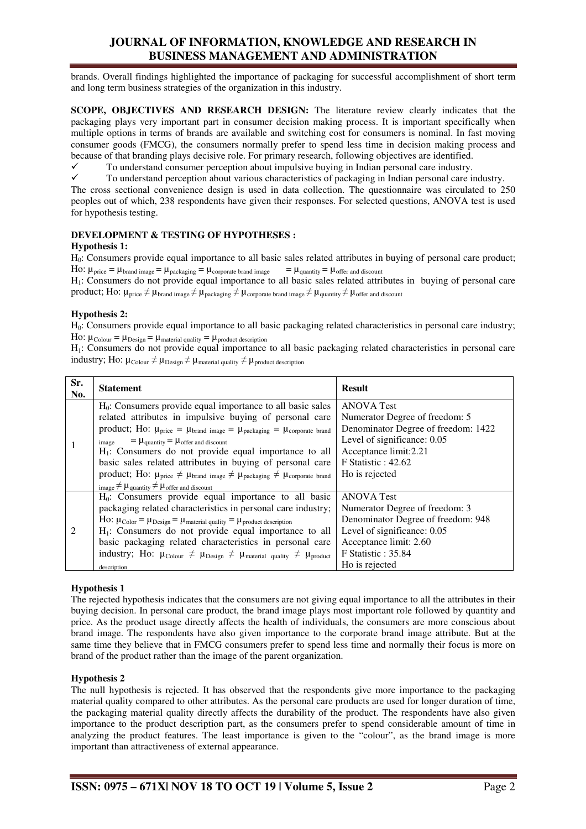# **JOURNAL OF INFORMATION, KNOWLEDGE AND RESEARCH IN BUSINESS MANAGEMENT AND ADMINISTRATION**

brands. Overall findings highlighted the importance of packaging for successful accomplishment of short term and long term business strategies of the organization in this industry.

**SCOPE, OBJECTIVES AND RESEARCH DESIGN:** The literature review clearly indicates that the packaging plays very important part in consumer decision making process. It is important specifically when multiple options in terms of brands are available and switching cost for consumers is nominal. In fast moving consumer goods (FMCG), the consumers normally prefer to spend less time in decision making process and because of that branding plays decisive role. For primary research, following objectives are identified.

 $\checkmark$  To understand consumer perception about impulsive buying in Indian personal care industry.<br>  $\checkmark$  To understand perception about various characteristics of packaging in Indian personal care in

 To understand perception about various characteristics of packaging in Indian personal care industry. The cross sectional convenience design is used in data collection. The questionnaire was circulated to 250 peoples out of which, 238 respondents have given their responses. For selected questions, ANOVA test is used for hypothesis testing.

## **DEVELOPMENT & TESTING OF HYPOTHESES :**

## **Hypothesis 1:**

H0: Consumers provide equal importance to all basic sales related attributes in buying of personal care product; Ho:  $\mu_{\text{price}} = \mu_{\text{brand image}} = \mu_{\text{package}} = \mu_{\text{corporte brand image}}$  =  $\mu_{\text{quantity}} = \mu_{\text{offer and discount}}$ 

H1: Consumers do not provide equal importance to all basic sales related attributes in buying of personal care product; Ho:  $\mu_{\text{price}} \neq \mu_{\text{brand image}} \neq \mu_{\text{package}} \neq \mu_{\text{corporte brand image}} \neq \mu_{\text{quantity}} \neq \mu_{\text{offer and discount}}$ 

#### **Hypothesis 2:**

H0: Consumers provide equal importance to all basic packaging related characteristics in personal care industry; HO:  $\mu_{\text{Colour}} = \mu_{\text{Design}} = \mu_{\text{material quality}} = \mu_{\text{product description}}$ 

H1: Consumers do not provide equal importance to all basic packaging related characteristics in personal care industry; Ho:  $\mu_{\text{Colour}} \neq \mu_{\text{Design}} \neq \mu_{\text{material quality}} \neq \mu_{\text{product description}}$ 

| Sr.<br>No. | <b>Statement</b>                                                                                                                                                                                                                                                                                                                                                                                                                                                                                                                                                                                                                                        | <b>Result</b>                                                                                                                                                                                 |
|------------|---------------------------------------------------------------------------------------------------------------------------------------------------------------------------------------------------------------------------------------------------------------------------------------------------------------------------------------------------------------------------------------------------------------------------------------------------------------------------------------------------------------------------------------------------------------------------------------------------------------------------------------------------------|-----------------------------------------------------------------------------------------------------------------------------------------------------------------------------------------------|
|            | $H_0$ : Consumers provide equal importance to all basic sales<br>related attributes in impulsive buying of personal care<br>product; Ho: $\mu_{\text{price}} = \mu_{\text{brand image}} = \mu_{\text{package}} = \mu_{\text{corporte brand}}$<br>$= \mu_{\text{quantity}} = \mu_{\text{offer and discount}}$<br>image<br>$H_1$ : Consumers do not provide equal importance to all<br>basic sales related attributes in buying of personal care<br>product; Ho: $\mu_{\text{price}} \neq \mu_{\text{brand image}} \neq \mu_{\text{package}} \neq \mu_{\text{corporte brand}}$<br>image $\neq \mu_{\text{quantity}} \neq \mu_{\text{offer and discount}}$ | <b>ANOVA Test</b><br>Numerator Degree of freedom: 5<br>Denominator Degree of freedom: 1422<br>Level of significance: 0.05<br>Acceptance limit:2.21<br>$F$ Statistic : 42.62<br>Ho is rejected |
| 2          | $H_0$ : Consumers provide equal importance to all basic<br>packaging related characteristics in personal care industry;<br>HO: $\mu_{\text{Color}} = \mu_{\text{Design}} = \mu_{\text{material quality}} = \mu_{\text{product description}}$<br>$H_1$ : Consumers do not provide equal importance to all<br>basic packaging related characteristics in personal care<br>industry; Ho: $\mu_{\text{Colour}} \neq \mu_{\text{Design}} \neq \mu_{\text{material quality}} \neq \mu_{\text{product}}$<br>description                                                                                                                                        | <b>ANOVA Test</b><br>Numerator Degree of freedom: 3<br>Denominator Degree of freedom: 948<br>Level of significance: 0.05<br>Acceptance limit: 2.60<br>F Statistic: 35.84<br>Ho is rejected    |

## **Hypothesis 1**

The rejected hypothesis indicates that the consumers are not giving equal importance to all the attributes in their buying decision. In personal care product, the brand image plays most important role followed by quantity and price. As the product usage directly affects the health of individuals, the consumers are more conscious about brand image. The respondents have also given importance to the corporate brand image attribute. But at the same time they believe that in FMCG consumers prefer to spend less time and normally their focus is more on brand of the product rather than the image of the parent organization.

## **Hypothesis 2**

The null hypothesis is rejected. It has observed that the respondents give more importance to the packaging material quality compared to other attributes. As the personal care products are used for longer duration of time, the packaging material quality directly affects the durability of the product. The respondents have also given importance to the product description part, as the consumers prefer to spend considerable amount of time in analyzing the product features. The least importance is given to the "colour", as the brand image is more important than attractiveness of external appearance.